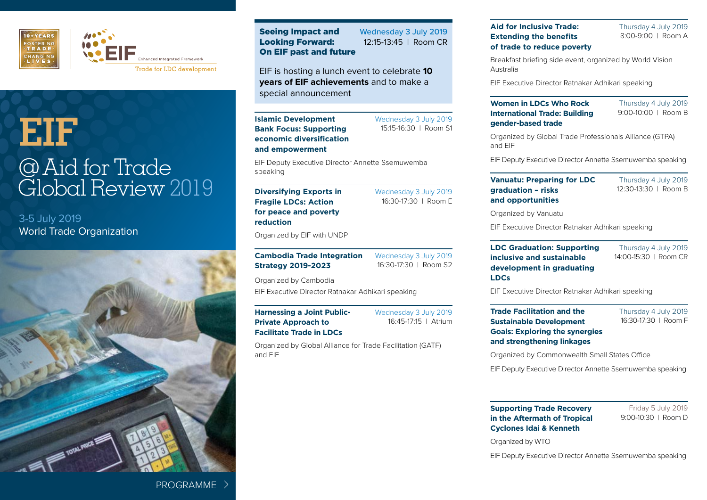

## **EIF** @Aid for Trade Global Review 2019

3-5 July 2019 World Trade Organization



Seeing Impact and Looking Forward: On EIF past and future Wednesday 3 July 2019 12:15-13:45 | Room CR

EIF is hosting a lunch event to celebrate **10 years of EIF achievements** and to make a special announcement

**Islamic Development Bank Focus: Supporting economic diversification and empowerment**

Wednesday 3 July 2019 15:15-16:30 | Room S1

Wednesday 3 July 2019 16:30-17:30 | Room E

EIF Deputy Executive Director Annette Ssemuwemba speaking

#### **Diversifying Exports in Fragile LDCs: Action for peace and poverty reduction**

Organized by EIF with UNDP

**Cambodia Trade Integration Strategy 2019-2023**

Wednesday 3 July 2019 16:30-17:30 | Room S2

Organized by Cambodia EIF Executive Director Ratnakar Adhikari speaking

**Facilitate Trade in LDCs**

**Harnessing a Joint Public-Private Approach to** 

Wednesday 3 July 2019 16:45-17:15 | Atrium

Organized by Global Alliance for Trade Facilitation (GATF) and EIF

**Aid for Inclusive Trade: Extending the benefits of trade to reduce poverty** Thursday 4 July 2019 8:00-9:00 | Room A

Breakfast briefing side event, organized by World Vision Australia

EIF Executive Director Ratnakar Adhikari speaking

#### **Women in LDCs Who Rock International Trade: Building gender-based trade**

Thursday 4 July 2019 9:00-10:00 | Room B

Organized by Global Trade Professionals Alliance (GTPA) and EIF

EIF Deputy Executive Director Annette Ssemuwemba speaking

**Vanuatu: Preparing for LDC graduation – risks and opportunities**

Thursday 4 July 2019 12:30-13:30 | Room B

Organized by Vanuatu

EIF Executive Director Ratnakar Adhikari speaking

**LDC Graduation: Supporting inclusive and sustainable development in graduating LDCs**

Thursday 4 July 2019 14:00-15:30 | Room CR

EIF Executive Director Ratnakar Adhikari speaking

**Trade Facilitation and the Sustainable Development Goals: Exploring the synergies and strengthening linkages**

Thursday 4 July 2019 16:30-17:30 | Room F

Organized by Commonwealth Small States Office

EIF Deputy Executive Director Annette Ssemuwemba speaking

**Supporting Trade Recovery in the Aftermath of Tropical Cyclones Idai & Kenneth**

Friday 5 July 2019 9:00-10:30 | Room D

Organized by WTO

EIF Deputy Executive Director Annette Ssemuwemba speaking